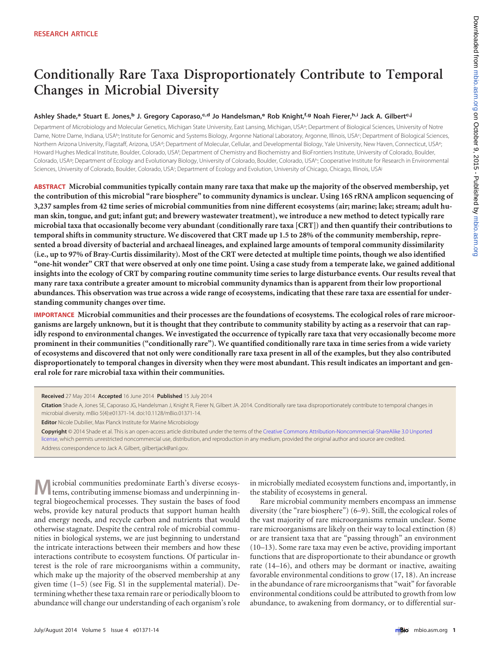# Downloaded from mbio.asm.org on October 9, 2015 - Published by mbio.asm.org Downloaded the motio.assm.org on October 9, 2015 - Published by [mbio.asm.org](http://mbio.asm.org/)

# **Conditionally Rare Taxa Disproportionately Contribute to Temporal Changes in Microbial Diversity**

# **Ashley Shade,<sup>a</sup> Stuart E. Jones,<sup>b</sup> J. Gregory Caporaso,c,d Jo Handelsman,<sup>e</sup> Rob Knight,f,g Noah Fierer,h,i Jack A. Gilbertc,j**

Department of Microbiology and Molecular Genetics, Michigan State University, East Lansing, Michigan, USA<sup>a</sup>; Department of Biological Sciences, University of Notre Dame, Notre Dame, Indiana, USA<sup>b;</sup> Institute for Genomic and Systems Biology, Argonne National Laboratory, Argonne, Illinois, USA<sup>c</sup>; Department of Biological Sciences, Northern Arizona University, Flagstaff, Arizona, USA<sup>d</sup>; Department of Molecular, Cellular, and Developmental Biology, Yale University, New Haven, Connecticut, USA<sup>e</sup>; Howard Hughes Medical Institute, Boulder, Colorado, USA<sup>f</sup>; Department of Chemistry and Biochemistry and BioFrontiers Institute, University of Colorado, Boulder, Colorado, USA<sup>g</sup>; Department of Ecology and Evolutionary Biology, University of Colorado, Boulder, Colorado, USA<sup>h</sup>; Cooperative Institute for Research in Environmental Sciences, University of Colorado, Boulder, Colorado, USA<sup>;</sup>, Department of Ecology and Evolution, University of Chicago, Chicago, Illinois, USA<sup>;</sup>

**ABSTRACT Microbial communities typically contain many rare taxa that make up the majority of the observed membership, yet the contribution of this microbial "rare biosphere" to community dynamics is unclear. Using 16S rRNA amplicon sequencing of 3,237 samples from 42 time series of microbial communities from nine different ecosystems (air; marine; lake; stream; adult human skin, tongue, and gut; infant gut; and brewery wastewater treatment), we introduce a new method to detect typically rare microbial taxa that occasionally become very abundant (conditionally rare taxa [CRT]) and then quantify their contributions to temporal shifts in community structure. We discovered that CRT made up 1.5 to 28% of the community membership, represented a broad diversity of bacterial and archaeal lineages, and explained large amounts of temporal community dissimilarity (i.e., up to 97% of Bray-Curtis dissimilarity). Most of the CRT were detected at multiple time points, though we also identified "one-hit wonder" CRT that were observed at only one time point. Using a case study from a temperate lake, we gained additional insights into the ecology of CRT by comparing routine community time series to large disturbance events. Our results reveal that many rare taxa contribute a greater amount to microbial community dynamics than is apparent from their low proportional abundances. This observation was true across a wide range of ecosystems, indicating that these rare taxa are essential for understanding community changes over time.**

**IMPORTANCE Microbial communities and their processes are the foundations of ecosystems. The ecological roles of rare microorganisms are largely unknown, but it is thought that they contribute to community stability by acting as a reservoir that can rapidly respond to environmental changes. We investigated the occurrence of typically rare taxa that very occasionally become more prominent in their communities ("conditionally rare"). We quantified conditionally rare taxa in time series from a wide variety of ecosystems and discovered that not only were conditionally rare taxa present in all of the examples, but they also contributed disproportionately to temporal changes in diversity when they were most abundant. This result indicates an important and general role for rare microbial taxa within their communities.**

**Citation** Shade A, Jones SE, Caporaso JG, Handelsman J, Knight R, Fierer N, Gilbert JA. 2014. Conditionally rare taxa disproportionately contribute to temporal changes in microbial diversity. mBio 5(4):e01371-14. doi:10.1128/mBio.01371-14.

**Editor** Nicole Dubilier, Max Planck Institute for Marine Microbiology

**Copyright** © 2014 Shade et al. This is an open-access article distributed under the terms of the [Creative Commons Attribution-Noncommercial-ShareAlike 3.0 Unported](http://creativecommons.org/licenses/by-nc-sa/3.0/) [license,](http://creativecommons.org/licenses/by-nc-sa/3.0/) which permits unrestricted noncommercial use, distribution, and reproduction in any medium, provided the original author and source are credited. Address correspondence to Jack A. Gilbert, gilbertjack@anl.gov.

**M**icrobial communities predominate Earth's diverse ecosys-tems, contributing immense biomass and underpinning integral biogeochemical processes. They sustain the bases of food webs, provide key natural products that support human health and energy needs, and recycle carbon and nutrients that would otherwise stagnate. Despite the central role of microbial communities in biological systems, we are just beginning to understand the intricate interactions between their members and how these interactions contribute to ecosystem functions. Of particular interest is the role of rare microorganisms within a community, which make up the majority of the observed membership at any given time [\(1](#page-6-0)[–](#page-6-1)[5\)](#page-6-2) (see Fig. S1 in the supplemental material). Determining whether these taxa remain rare or periodically bloom to abundance will change our understanding of each organism's role

in microbially mediated ecosystem functions and, importantly, in the stability of ecosystems in general.

Rare microbial community members encompass an immense diversity (the "rare biosphere") [\(6](#page-6-3)[–](#page-6-4)[9\)](#page-6-5). Still, the ecological roles of the vast majority of rare microorganisms remain unclear. Some rare microorganisms are likely on their way to local extinction [\(8\)](#page-6-4) or are transient taxa that are "passing through" an environment [\(10](#page-6-6)[–](#page-7-0)[13\)](#page-7-1). Some rare taxa may even be active, providing important functions that are disproportionate to their abundance or growth rate [\(14](#page-7-2)[–](#page-7-3)[16\)](#page-7-4), and others may be dormant or inactive, awaiting favorable environmental conditions to grow [\(17,](#page-7-5) [18\)](#page-7-6). An increase in the abundance of rare microorganisms that "wait" for favorable environmental conditions could be attributed to growth from low abundance, to awakening from dormancy, or to differential sur-

**Received** 27 May 2014 **Accepted** 16 June 2014 **Published** 15 July 2014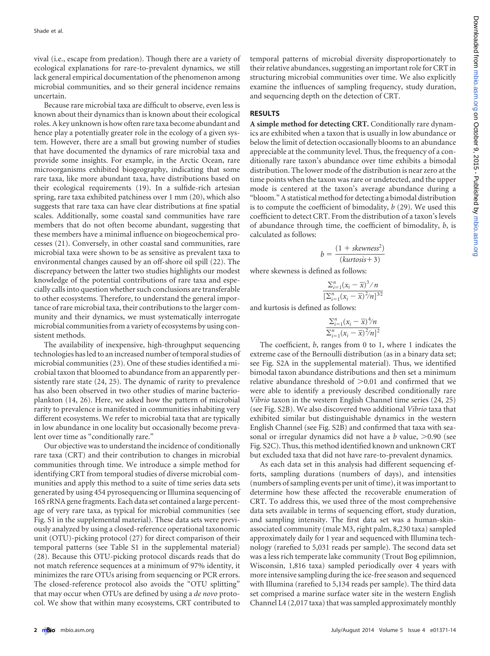vival (i.e., escape from predation). Though there are a variety of ecological explanations for rare-to-prevalent dynamics, we still lack general empirical documentation of the phenomenon among microbial communities, and so their general incidence remains uncertain.

Because rare microbial taxa are difficult to observe, even less is known about their dynamics than is known about their ecological roles. A key unknown is how often rare taxa become abundant and hence play a potentially greater role in the ecology of a given system. However, there are a small but growing number of studies that have documented the dynamics of rare microbial taxa and provide some insights. For example, in the Arctic Ocean, rare microorganisms exhibited biogeography, indicating that some rare taxa, like more abundant taxa, have distributions based on their ecological requirements [\(19\)](#page-7-7). In a sulfide-rich artesian spring, rare taxa exhibited patchiness over 1 mm [\(20\)](#page-7-8), which also suggests that rare taxa can have clear distributions at fine spatial scales. Additionally, some coastal sand communities have rare members that do not often become abundant, suggesting that these members have a minimal influence on biogeochemical processes [\(21\)](#page-7-9). Conversely, in other coastal sand communities, rare microbial taxa were shown to be as sensitive as prevalent taxa to environmental changes caused by an off-shore oil spill [\(22\)](#page-7-10). The discrepancy between the latter two studies highlights our modest knowledge of the potential contributions of rare taxa and especially calls into question whether such conclusions are transferable to other ecosystems. Therefore, to understand the general importance of rare microbial taxa, their contributions to the larger community and their dynamics, we must systematically interrogate microbial communities from a variety of ecosystems by using consistent methods.

The availability of inexpensive, high-throughput sequencing technologies has led to an increased number of temporal studies of microbial communities [\(23\)](#page-7-11). One of these studies identified a microbial taxon that bloomed to abundance from an apparently persistently rare state [\(24,](#page-7-12) [25\)](#page-7-13). The dynamic of rarity to prevalence has also been observed in two other studies of marine bacterioplankton [\(14,](#page-7-2) [26\)](#page-7-14). Here, we asked how the pattern of microbial rarity to prevalence is manifested in communities inhabiting very different ecosystems. We refer to microbial taxa that are typically in low abundance in one locality but occasionally become prevalent over time as "conditionally rare."

Our objective was to understand the incidence of conditionally rare taxa (CRT) and their contribution to changes in microbial communities through time. We introduce a simple method for identifying CRT from temporal studies of diverse microbial communities and apply this method to a suite of time series data sets generated by using 454 pyrosequencing or Illumina sequencing of 16S rRNA gene fragments. Each data set contained a large percentage of very rare taxa, as typical for microbial communities (see Fig. S1 in the supplemental material). These data sets were previously analyzed by using a closed-reference operational taxonomic unit (OTU)-picking protocol [\(27\)](#page-7-15) for direct comparison of their temporal patterns (see Table S1 in the supplemental material) [\(28\)](#page-7-16). Because this OTU-picking protocol discards reads that do not match reference sequences at a minimum of 97% identity, it minimizes the rare OTUs arising from sequencing or PCR errors. The closed-reference protocol also avoids the "OTU splitting" that may occur when OTUs are defined by using a *de novo* protocol. We show that within many ecosystems, CRT contributed to

temporal patterns of microbial diversity disproportionately to their relative abundances, suggesting an important role for CRT in structuring microbial communities over time. We also explicitly examine the influences of sampling frequency, study duration, and sequencing depth on the detection of CRT.

# **RESULTS**

**A simple method for detecting CRT.** Conditionally rare dynamics are exhibited when a taxon that is usually in low abundance or below the limit of detection occasionally blooms to an abundance appreciable at the community level. Thus, the frequency of a conditionally rare taxon's abundance over time exhibits a bimodal distribution. The lower mode of the distribution is near zero at the time points when the taxon was rare or undetected, and the upper mode is centered at the taxon's average abundance during a "bloom." A statistical method for detecting a bimodal distribution is to compute the coefficient of bimodality, *b* [\(29\)](#page-7-17). We used this coefficient to detect CRT. From the distribution of a taxon's levels of abundance through time, the coefficient of bimodality, *b*, is calculated as follows:

$$
b = \frac{(1 + skewness^2)}{(kurtosis + 3)}
$$

where skewness is defined as follows:

$$
\frac{\sum_{i=1}^{n}(x_i - \overline{x})^3/n}{\left[\sum_{i=1}^{n}(x_i - \overline{x})^2/n\right]^{3/2}}
$$

and kurtosis is defined as follows:

$$
\frac{\sum_{i=1}^{n}(x_i-\overline{x})^4/n}{\sum_{i=1}^{n}(x_i-\overline{x})^2/n]^2}
$$

The coefficient, *b*, ranges from 0 to 1, where 1 indicates the extreme case of the Bernoulli distribution (as in a binary data set; see Fig. S2A in the supplemental material). Thus, we identified bimodal taxon abundance distributions and then set a minimum relative abundance threshold of  $>0.01$  and confirmed that we were able to identify a previously described conditionally rare *Vibrio* taxon in the western English Channel time series [\(24,](#page-7-12) [25\)](#page-7-13) (see Fig. S2B). We also discovered two additional *Vibrio* taxa that exhibited similar but distinguishable dynamics in the western English Channel (see Fig. S2B) and confirmed that taxa with seasonal or irregular dynamics did not have a *b* value, >0.90 (see Fig. S2C). Thus, this method identified known and unknown CRT but excluded taxa that did not have rare-to-prevalent dynamics.

As each data set in this analysis had different sequencing efforts, sampling durations (numbers of days), and intensities (numbers of sampling events per unit of time), it was important to determine how these affected the recoverable enumeration of CRT. To address this, we used three of the most comprehensive data sets available in terms of sequencing effort, study duration, and sampling intensity. The first data set was a human-skinassociated community (male M3, right palm, 8,230 taxa) sampled approximately daily for 1 year and sequenced with Illumina technology (rarefied to 5,031 reads per sample). The second data set was a less rich temperate lake community (Trout Bog epilimnion, Wisconsin, 1,816 taxa) sampled periodically over 4 years with more intensive sampling during the ice-free season and sequenced with Illumina (rarefied to 5,134 reads per sample). The third data set comprised a marine surface water site in the western English Channel L4 (2,017 taxa) that was sampled approximately monthly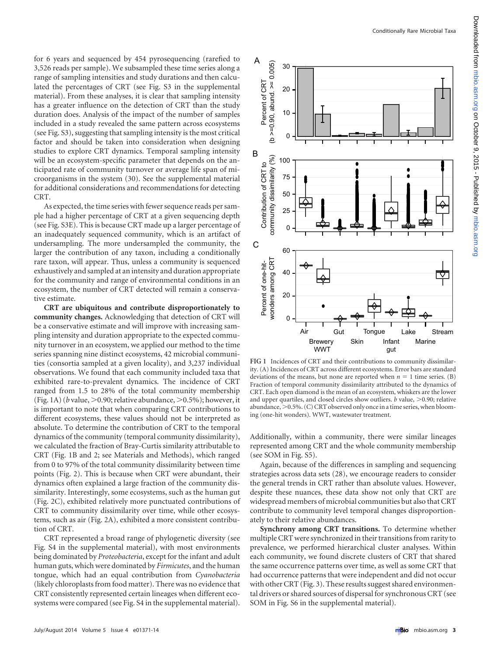Conditionally Rare Microbial Taxa

for 6 years and sequenced by 454 pyrosequencing (rarefied to 3,526 reads per sample). We subsampled these time series along a range of sampling intensities and study durations and then calculated the percentages of CRT (see Fig. S3 in the supplemental material). From these analyses, it is clear that sampling intensity has a greater influence on the detection of CRT than the study duration does. Analysis of the impact of the number of samples included in a study revealed the same pattern across ecosystems (see Fig. S3), suggesting that sampling intensity is the most critical factor and should be taken into consideration when designing studies to explore CRT dynamics. Temporal sampling intensity will be an ecosystem-specific parameter that depends on the anticipated rate of community turnover or average life span of microorganisms in the system [\(30\)](#page-7-18). See the supplemental material for additional considerations and recommendations for detecting CRT.

As expected, the time series with fewer sequence reads per sample had a higher percentage of CRT at a given sequencing depth (see Fig. S3E). This is because CRT made up a larger percentage of an inadequately sequenced community, which is an artifact of undersampling. The more undersampled the community, the larger the contribution of any taxon, including a conditionally rare taxon, will appear. Thus, unless a community is sequenced exhaustively and sampled at an intensity and duration appropriate for the community and range of environmental conditions in an ecosystem, the number of CRT detected will remain a conservative estimate.

**CRT are ubiquitous and contribute disproportionately to community changes.** Acknowledging that detection of CRT will be a conservative estimate and will improve with increasing sampling intensity and duration appropriate to the expected community turnover in an ecosystem, we applied our method to the time series spanning nine distinct ecosystems, 42 microbial communities (consortia sampled at a given locality), and 3,237 individual observations. We found that each community included taxa that exhibited rare-to-prevalent dynamics. The incidence of CRT ranged from 1.5 to 28% of the total community membership [\(Fig. 1A\)](#page-2-0) ( $b$  value,  $>$  0.90; relative abundance,  $>$  0.5%); however, it is important to note that when comparing CRT contributions to different ecosystems, these values should not be interpreted as absolute. To determine the contribution of CRT to the temporal dynamics of the community (temporal community dissimilarity), we calculated the fraction of Bray-Curtis similarity attributable to CRT [\(Fig. 1B](#page-2-0) and 2; see Materials and Methods), which ranged from 0 to 97% of the total community dissimilarity between time points [\(Fig. 2\)](#page-3-0). This is because when CRT were abundant, their dynamics often explained a large fraction of the community dissimilarity. Interestingly, some ecosystems, such as the human gut [\(Fig. 2C\)](#page-3-0), exhibited relatively more punctuated contributions of CRT to community dissimilarity over time, while other ecosystems, such as air [\(Fig. 2A\)](#page-3-0), exhibited a more consistent contribution of CRT.

CRT represented a broad range of phylogenetic diversity (see Fig. S4 in the supplemental material), with most environments being dominated by *Proteobacteria*, except for the infant and adult human guts, which were dominated by *Firmicutes*, and the human tongue, which had an equal contribution from *Cyanobacteria* (likely chloroplasts from food matter). There was no evidence that CRT consistently represented certain lineages when different ecosystems were compared (see Fig. S4 in the supplemental material).



<span id="page-2-0"></span>**FIG 1** Incidences of CRT and their contributions to community dissimilarity. (A) Incidences of CRT across different ecosystems. Error bars are standard deviations of the means, but none are reported when  $n = 1$  time series. (B) Fraction of temporal community dissimilarity attributed to the dynamics of CRT. Each open diamond is the mean of an ecosystem, whiskers are the lower and upper quartiles, and closed circles show outliers. *b* value, >0.90; relative abundance,  $>$  0.5%. (C) CRT observed only once in a time series, when blooming (one-hit wonders). WWT, wastewater treatment.

Additionally, within a community, there were similar lineages represented among CRT and the whole community membership (see SOM in Fig. S5).

Again, because of the differences in sampling and sequencing strategies across data sets [\(28\)](#page-7-16), we encourage readers to consider the general trends in CRT rather than absolute values. However, despite these nuances, these data show not only that CRT are widespread members of microbial communities but also that CRT contribute to community level temporal changes disproportionately to their relative abundances.

**Synchrony among CRT transitions.** To determine whether multiple CRT were synchronized in their transitions from rarity to prevalence, we performed hierarchical cluster analyses. Within each community, we found discrete clusters of CRT that shared the same occurrence patterns over time, as well as some CRT that had occurrence patterns that were independent and did not occur with other CRT [\(Fig. 3\)](#page-4-0). These results suggest shared environmental drivers or shared sources of dispersal for synchronous CRT (see SOM in Fig. S6 in the supplemental material).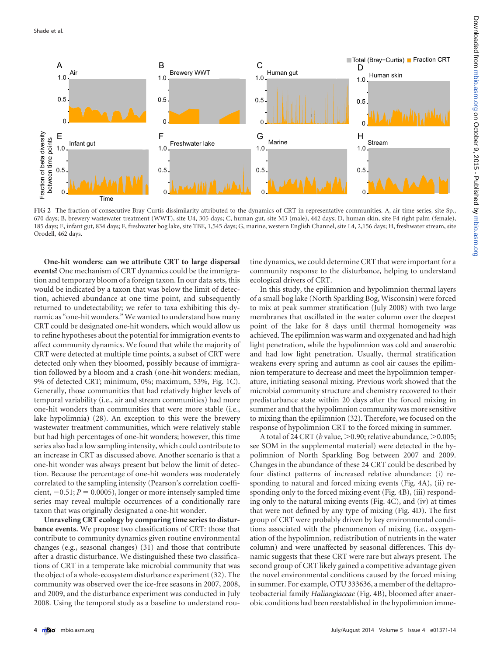

<span id="page-3-0"></span>**FIG 2** The fraction of consecutive Bray-Curtis dissimilarity attributed to the dynamics of CRT in representative communities. A, air time series, site Sp., 670 days; B, brewery wastewater treatment (WWT), site U4, 305 days; C, human gut, site M3 (male), 442 days; D, human skin, site F4 right palm (female), 185 days; E, infant gut, 834 days; F, freshwater bog lake, site TBE, 1,545 days; G, marine, western English Channel, site L4, 2,156 days; H, freshwater stream, site Orodell, 462 days.

**One-hit wonders: can we attribute CRT to large dispersal events?** One mechanism of CRT dynamics could be the immigration and temporary bloom of a foreign taxon. In our data sets, this would be indicated by a taxon that was below the limit of detection, achieved abundance at one time point, and subsequently returned to undetectability; we refer to taxa exhibiting this dynamic as "one-hit wonders." We wanted to understand how many CRT could be designated one-hit wonders, which would allow us to refine hypotheses about the potential for immigration events to affect community dynamics. We found that while the majority of CRT were detected at multiple time points, a subset of CRT were detected only when they bloomed, possibly because of immigration followed by a bloom and a crash (one-hit wonders: median, 9% of detected CRT; minimum, 0%; maximum, 53%, [Fig. 1C\)](#page-2-0). Generally, those communities that had relatively higher levels of temporal variability (i.e., air and stream communities) had more one-hit wonders than communities that were more stable (i.e., lake hypolimnia) [\(28\)](#page-7-16). An exception to this were the brewery wastewater treatment communities, which were relatively stable but had high percentages of one-hit wonders; however, this time series also had a low sampling intensity, which could contribute to an increase in CRT as discussed above. Another scenario is that a one-hit wonder was always present but below the limit of detection. Because the percentage of one-hit wonders was moderately correlated to the sampling intensity (Pearson's correlation coefficient,  $-0.51$ ;  $P = 0.0005$ ), longer or more intensely sampled time series may reveal multiple occurrences of a conditionally rare taxon that was originally designated a one-hit wonder.

**Unraveling CRT ecology by comparing time series to disturbance events.** We propose two classifications of CRT: those that contribute to community dynamics given routine environmental changes (e.g., seasonal changes) [\(31\)](#page-7-19) and those that contribute after a drastic disturbance. We distinguished these two classifications of CRT in a temperate lake microbial community that was the object of a whole-ecosystem disturbance experiment [\(32\)](#page-7-20). The community was observed over the ice-free seasons in 2007, 2008, and 2009, and the disturbance experiment was conducted in July 2008. Using the temporal study as a baseline to understand routine dynamics, we could determine CRT that were important for a community response to the disturbance, helping to understand ecological drivers of CRT.

In this study, the epilimnion and hypolimnion thermal layers of a small bog lake (North Sparkling Bog, Wisconsin) were forced to mix at peak summer stratification (July 2008) with two large membranes that oscillated in the water column over the deepest point of the lake for 8 days until thermal homogeneity was achieved. The epilimnion was warm and oxygenated and had high light penetration, while the hypolimnion was cold and anaerobic and had low light penetration. Usually, thermal stratification weakens every spring and autumn as cool air causes the epilimnion temperature to decrease and meet the hypolimnion temperature, initiating seasonal mixing. Previous work showed that the microbial community structure and chemistry recovered to their predisturbance state within 20 days after the forced mixing in summer and that the hypolimnion community was more sensitive to mixing than the epilimnion [\(32\)](#page-7-20). Therefore, we focused on the response of hypolimnion CRT to the forced mixing in summer.

A total of 24 CRT ( $b$  value,  $>$  0.90; relative abundance,  $>$  0.005; see SOM in the supplemental material) were detected in the hypolimnion of North Sparkling Bog between 2007 and 2009. Changes in the abundance of these 24 CRT could be described by four distinct patterns of increased relative abundance: (i) responding to natural and forced mixing events [\(Fig. 4A\)](#page-5-0), (ii) responding only to the forced mixing event [\(Fig. 4B\)](#page-5-0), (iii) responding only to the natural mixing events [\(Fig. 4C\)](#page-5-0), and (iv) at times that were not defined by any type of mixing [\(Fig. 4D\)](#page-5-0). The first group of CRT were probably driven by key environmental conditions associated with the phenomenon of mixing (i.e., oxygenation of the hypolimnion, redistribution of nutrients in the water column) and were unaffected by seasonal differences. This dynamic suggests that these CRT were rare but always present. The second group of CRT likely gained a competitive advantage given the novel environmental conditions caused by the forced mixing in summer. For example, OTU 333636, a member of the deltaproteobacterial family *Haliangiaceae* [\(Fig. 4B\)](#page-5-0), bloomed after anaerobic conditions had been reestablished in the hypolimnion imme-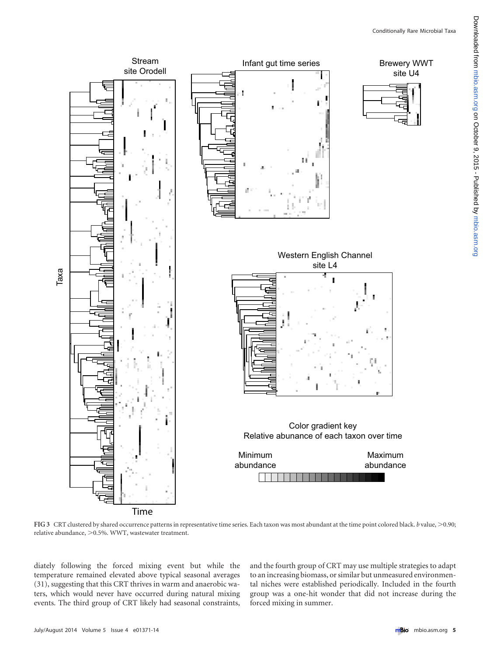

<span id="page-4-0"></span>**FIG 3** CRT clustered by shared occurrence patterns in representative time series. Each taxon was most abundant at the time point colored black. *b* value, -0.90; relative abundance, >0.5%. WWT, wastewater treatment.

diately following the forced mixing event but while the temperature remained elevated above typical seasonal averages [\(31\)](#page-7-19), suggesting that this CRT thrives in warm and anaerobic waters, which would never have occurred during natural mixing events. The third group of CRT likely had seasonal constraints,

and the fourth group of CRT may use multiple strategies to adapt to an increasing biomass, or similar but unmeasured environmental niches were established periodically. Included in the fourth group was a one-hit wonder that did not increase during the forced mixing in summer.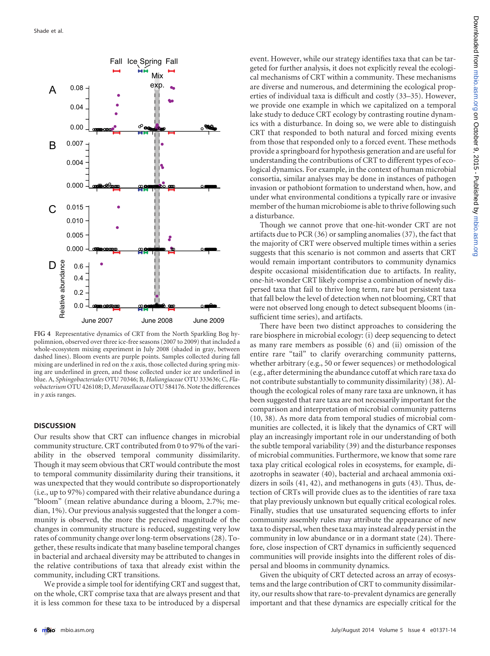

<span id="page-5-0"></span>**FIG 4** Representative dynamics of CRT from the North Sparkling Bog hypolimnion, observed over three ice-free seasons (2007 to 2009) that included a whole-ecosystem mixing experiment in July 2008 (shaded in gray, between dashed lines). Bloom events are purple points. Samples collected during fall mixing are underlined in red on the *x* axis, those collected during spring mixing are underlined in green, and those collected under ice are underlined in blue. A, *Sphingobacteriales* OTU 70346; B, *Haliangiaceae* OTU 333636; C, *Flavobacterium* OTU 426108; D, *Moraxellaceae* OTU 584176. Note the differences in *y* axis ranges.

### **DISCUSSION**

Our results show that CRT can influence changes in microbial community structure. CRT contributed from 0 to 97% of the variability in the observed temporal community dissimilarity. Though it may seem obvious that CRT would contribute the most to temporal community dissimilarity during their transitions, it was unexpected that they would contribute so disproportionately (i.e., up to 97%) compared with their relative abundance during a "bloom" (mean relative abundance during a bloom, 2.7%; median, 1%). Our previous analysis suggested that the longer a community is observed, the more the perceived magnitude of the changes in community structure is reduced, suggesting very low rates of community change over long-term observations [\(28\)](#page-7-16). Together, these results indicate that many baseline temporal changes in bacterial and archaeal diversity may be attributed to changes in the relative contributions of taxa that already exist within the community, including CRT transitions.

We provide a simple tool for identifying CRT and suggest that, on the whole, CRT comprise taxa that are always present and that it is less common for these taxa to be introduced by a dispersal

event. However, while our strategy identifies taxa that can be targeted for further analysis, it does not explicitly reveal the ecological mechanisms of CRT within a community. These mechanisms are diverse and numerous, and determining the ecological properties of individual taxa is difficult and costly [\(33](#page-7-21)[–](#page-7-22)[35\)](#page-7-23). However, we provide one example in which we capitalized on a temporal lake study to deduce CRT ecology by contrasting routine dynamics with a disturbance. In doing so, we were able to distinguish CRT that responded to both natural and forced mixing events from those that responded only to a forced event. These methods provide a springboard for hypothesis generation and are useful for understanding the contributions of CRT to different types of ecological dynamics. For example, in the context of human microbial consortia, similar analyses may be done in instances of pathogen invasion or pathobiont formation to understand when, how, and under what environmental conditions a typically rare or invasive member of the human microbiome is able to thrive following such a disturbance.

Though we cannot prove that one-hit-wonder CRT are not artifacts due to PCR [\(36\)](#page-7-24) or sampling anomalies [\(37\)](#page-7-25), the fact that the majority of CRT were observed multiple times within a series suggests that this scenario is not common and asserts that CRT would remain important contributors to community dynamics despite occasional misidentification due to artifacts. In reality, one-hit-wonder CRT likely comprise a combination of newly dispersed taxa that fail to thrive long term, rare but persistent taxa that fall below the level of detection when not blooming, CRT that were not observed long enough to detect subsequent blooms (insufficient time series), and artifacts.

There have been two distinct approaches to considering the rare biosphere in microbial ecology: (i) deep sequencing to detect as many rare members as possible [\(6\)](#page-6-3) and (ii) omission of the entire rare "tail" to clarify overarching community patterns, whether arbitrary (e.g., 50 or fewer sequences) or methodological (e.g., after determining the abundance cutoff at which rare taxa do not contribute substantially to community dissimilarity) [\(38\)](#page-7-26). Although the ecological roles of many rare taxa are unknown, it has been suggested that rare taxa are not necessarily important for the comparison and interpretation of microbial community patterns [\(10,](#page-6-6) [38\)](#page-7-26). As more data from temporal studies of microbial communities are collected, it is likely that the dynamics of CRT will play an increasingly important role in our understanding of both the subtle temporal variability [\(39\)](#page-7-27) and the disturbance responses of microbial communities. Furthermore, we know that some rare taxa play critical ecological roles in ecosystems, for example, diazotrophs in seawater [\(40\)](#page-7-28), bacterial and archaeal ammonia oxidizers in soils [\(41,](#page-7-29) [42\)](#page-7-30), and methanogens in guts [\(43\)](#page-7-31). Thus, detection of CRTs will provide clues as to the identities of rare taxa that play previously unknown but equally critical ecological roles. Finally, studies that use unsaturated sequencing efforts to infer community assembly rules may attribute the appearance of new taxa to dispersal, when these taxa may instead already persist in the community in low abundance or in a dormant state [\(24\)](#page-7-12). Therefore, close inspection of CRT dynamics in sufficiently sequenced communities will provide insights into the different roles of dispersal and blooms in community dynamics.

Given the ubiquity of CRT detected across an array of ecosystems and the large contribution of CRT to community dissimilarity, our results show that rare-to-prevalent dynamics are generally important and that these dynamics are especially critical for the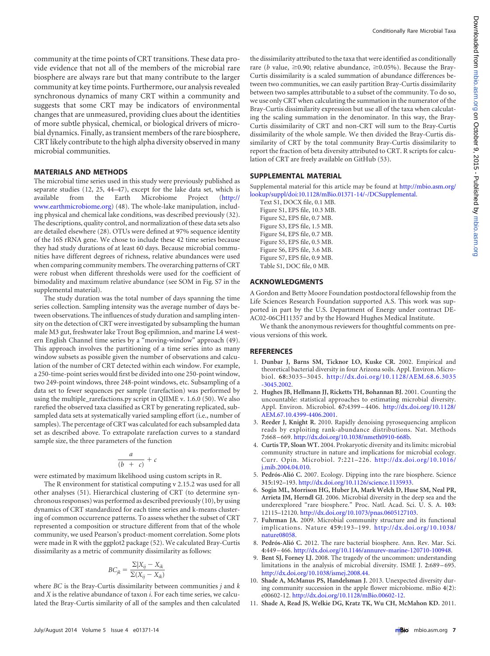community at the time points of CRT transitions. These data provide evidence that not all of the members of the microbial rare biosphere are always rare but that many contribute to the larger community at key time points. Furthermore, our analysis revealed synchronous dynamics of many CRT within a community and suggests that some CRT may be indicators of environmental changes that are unmeasured, providing clues about the identities of more subtle physical, chemical, or biological drivers of microbial dynamics. Finally, as transient members of the rare biosphere, CRT likely contribute to the high alpha diversity observed in many microbial communities.

### **MATERIALS AND METHODS**

The microbial time series used in this study were previously published as separate studies [\(12,](#page-7-0) [25,](#page-7-13) [44](#page-7-32)[–](#page-7-33)[47\)](#page-7-34), except for the lake data set, which is available from the Earth Microbiome Project [\(http://](http://www.earthmicrobiome.org) [www.earthmicrobiome.org\)](http://www.earthmicrobiome.org) [\(48\)](#page-7-35). The whole-lake manipulation, including physical and chemical lake conditions, was described previously [\(32\)](#page-7-20). The descriptions, quality control, and normalization of these data sets also are detailed elsewhere [\(28\)](#page-7-16). OTUs were defined at 97% sequence identity of the 16S rRNA gene. We chose to include these 42 time series because they had study durations of at least 60 days. Because microbial communities have different degrees of richness, relative abundances were used when comparing community members. The overarching patterns of CRT were robust when different thresholds were used for the coefficient of bimodality and maximum relative abundance (see SOM in Fig. S7 in the supplemental material).

The study duration was the total number of days spanning the time series collection. Sampling intensity was the average number of days between observations. The influences of study duration and sampling intensity on the detection of CRT were investigated by subsampling the human male M3 gut, freshwater lake Trout Bog epilimnion, and marine L4 western English Channel time series by a "moving-window" approach [\(49\)](#page-7-36). This approach involves the partitioning of a time series into as many window subsets as possible given the number of observations and calculation of the number of CRT detected within each window. For example, a 250-time-point series would first be divided into one 250-point window, two 249-point windows, three 248-point windows, etc. Subsampling of a data set to fewer sequences per sample (rarefaction) was performed by using the multiple\_rarefactions.py script in QIIME v. 1.6.0 [\(50\)](#page-8-0). We also rarefied the observed taxa classified as CRT by generating replicated, subsampled data sets at systematically varied sampling effort (i.e., number of samples). The percentage of CRT was calculated for each subsampled data set as described above. To extrapolate rarefaction curves to a standard sample size, the three parameters of the function

$$
\frac{a}{(b + c)} + c
$$

were estimated by maximum likelihood using custom scripts in R.

The R environment for statistical computing v 2.15.2 was used for all other analyses [\(51\)](#page-8-1). Hierarchical clustering of CRT (to determine synchronous responses) was performed as described previously [\(10\)](#page-6-6), by using dynamics of CRT standardized for each time series and k-means clustering of common occurrence patterns. To assess whether the subset of CRT represented a composition or structure different from that of the whole community, we used Pearson's product-moment correlation. Some plots were made in R with the ggplot2 package [\(52\)](#page-8-2). We calculated Bray-Curtis dissimilarity as a metric of community dissimilarity as follows:

$$
BC_{jk} = \frac{\Sigma |X_{ij} - X_{ik}|}{\Sigma (X_{ij} - X_{ik})}
$$

where *BC* is the Bray-Curtis dissimilarity between communities *j* and *k* and *X* is the relative abundance of taxon *i*. For each time series, we calculated the Bray-Curtis similarity of all of the samples and then calculated the dissimilarity attributed to the taxa that were identified as conditionally rare (*b* value,  $\geq$ 0.90; relative abundance,  $\geq$ 0.05%). Because the Bray-Curtis dissimilarity is a scaled summation of abundance differences between two communities, we can easily partition Bray-Curtis dissimilarity between two samples attributable to a subset of the community. To do so, we use only CRT when calculating the summation in the numerator of the Bray-Curtis dissimilarity expression but use all of the taxa when calculating the scaling summation in the denominator. In this way, the Bray-Curtis dissimilarity of CRT and non-CRT will sum to the Bray-Curtis dissimilarity of the whole sample. We then divided the Bray-Curtis dissimilarity of CRT by the total community Bray-Curtis dissimilarity to report the fraction of beta diversity attributed to CRT. R scripts for calculation of CRT are freely available on GitHub [\(53\)](#page-8-3).

### **SUPPLEMENTAL MATERIAL**

Supplemental material for this article may be found at [http://mbio.asm.org/](http://mbio.asm.org/lookup/suppl/doi:10.1128/mBio.01371-14/-/DCSupplemental) [lookup/suppl/doi:10.1128/mBio.01371-14/-/DCSupplemental.](http://mbio.asm.org/lookup/suppl/doi:10.1128/mBio.01371-14/-/DCSupplemental)

Text S1, DOCX file, 0.1 MB. Figure S1, EPS file, 10.3 MB. Figure S2, EPS file, 0.7 MB. Figure S3, EPS file, 1.5 MB. Figure S4, EPS file, 0.7 MB. Figure S5, EPS file, 0.5 MB. Figure S6, EPS file, 3.6 MB. Figure S7, EPS file, 0.9 MB. Table S1, DOC file, 0 MB.

### **ACKNOWLEDGMENTS**

A Gordon and Betty Moore Foundation postdoctoral fellowship from the Life Sciences Research Foundation supported A.S. This work was supported in part by the U.S. Department of Energy under contract DE-AC02-06CH11357 and by the Howard Hughes Medical Institute.

We thank the anonymous reviewers for thoughtful comments on previous versions of this work.

### <span id="page-6-0"></span>**REFERENCES**

- 1. **Dunbar J, Barns SM, Ticknor LO, Kuske CR.** 2002. Empirical and theoretical bacterial diversity in four Arizona soils. Appl. Environ. Microbiol. **68:**3035–3045. [http://dx.doi.org/10.1128/AEM.68.6.3035](http://dx.doi.org/10.1128/AEM.68.6.3035-3045.2002) [-3045.2002.](http://dx.doi.org/10.1128/AEM.68.6.3035-3045.2002)
- 2. **Hughes JB, Hellmann JJ, Ricketts TH, Bohannan BJ.** 2001. Counting the uncountable: statistical approaches to estimating microbial diversity. Appl. Environ. Microbiol. **67:**4399 – 4406. [http://dx.doi.org/10.1128/](http://dx.doi.org/10.1128/AEM.67.10.4399-4406.2001) [AEM.67.10.4399-4406.2001.](http://dx.doi.org/10.1128/AEM.67.10.4399-4406.2001)
- <span id="page-6-1"></span>3. **Reeder J, Knight R.** 2010. Rapidly denoising pyrosequencing amplicon reads by exploiting rank-abundance distributions. Nat. Methods **7:**668 – 669. [http://dx.doi.org/10.1038/nmeth0910-668b.](http://dx.doi.org/10.1038/nmeth0910-668b)
- 4. **Curtis TP, Sloan WT.** 2004. Prokaryotic diversity and its limits: microbial community structure in nature and implications for microbial ecology. Curr. Opin. Microbiol. **7:**221–226. [http://dx.doi.org/10.1016/](http://dx.doi.org/10.1016/j.mib.2004.04.010) [j.mib.2004.04.010.](http://dx.doi.org/10.1016/j.mib.2004.04.010)
- <span id="page-6-3"></span><span id="page-6-2"></span>5. **Pedrós-Alió C.** 2007. Ecology. Dipping into the rare biosphere. Science **315:**192–193. [http://dx.doi.org/10.1126/science.1135933.](http://dx.doi.org/10.1126/science.1135933)
- 6. **Sogin ML, Morrison HG, Huber JA, Mark Welch D, Huse SM, Neal PR, Arrieta JM, Herndl GJ.** 2006. Microbial diversity in the deep sea and the underexplored "rare biosphere." Proc. Natl. Acad. Sci. U. S. A. **103:** 12115–12120. [http://dx.doi.org/10.1073/pnas.0605127103.](http://dx.doi.org/10.1073/pnas.0605127103)
- <span id="page-6-4"></span>7. **Fuhrman JA.** 2009. Microbial community structure and its functional implications. Nature **459:**193–199. [http://dx.doi.org/10.1038/](http://dx.doi.org/10.1038/nature08058) [nature08058.](http://dx.doi.org/10.1038/nature08058)
- <span id="page-6-5"></span>8. **Pedrós-Alió C.** 2012. The rare bacterial biosphere. Ann. Rev. Mar. Sci. **4:**449 – 466. [http://dx.doi.org/10.1146/annurev-marine-120710-100948.](http://dx.doi.org/10.1146/annurev-marine-120710-100948)
- 9. **Bent SJ, Forney LJ.** 2008. The tragedy of the uncommon: understanding limitations in the analysis of microbial diversity. ISME J. **2:**689 – 695. [http://dx.doi.org/10.1038/ismej.2008.44.](http://dx.doi.org/10.1038/ismej.2008.44)
- <span id="page-6-6"></span>10. **Shade A, McManus PS, Handelsman J.** 2013. Unexpected diversity during community succession in the apple flower microbiome. mBio **4**(**2**): e00602-12. [http://dx.doi.org/10.1128/mBio.00602-12.](http://dx.doi.org/10.1128/mBio.00602-12)
- 11. **Shade A, Read JS, Welkie DG, Kratz TK, Wu CH, McMahon KD.** 2011.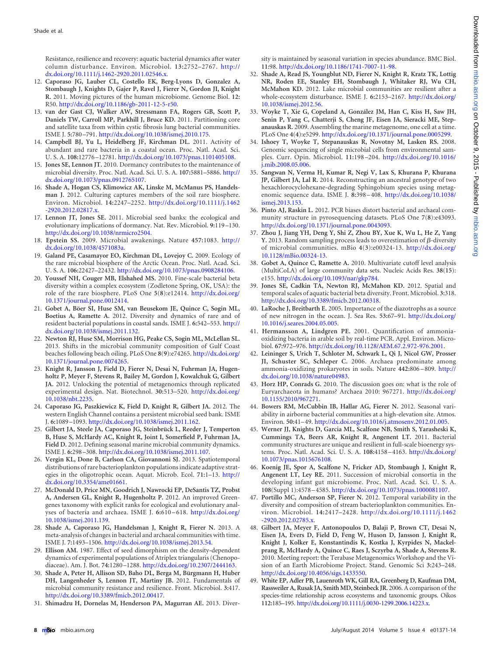Resistance, resilience and recovery: aquatic bacterial dynamics after water column disturbance. Environ. Microbiol. **13:**2752–2767. [http://](http://dx.doi.org/10.1111/j.1462-2920.2011.02546.x) [dx.doi.org/10.1111/j.1462-2920.2011.02546.x.](http://dx.doi.org/10.1111/j.1462-2920.2011.02546.x)

- <span id="page-7-0"></span>12. **Caporaso JG, Lauber CL, Costello EK, Berg-Lyons D, Gonzalez A, Stombaugh J, Knights D, Gajer P, Ravel J, Fierer N, Gordon JI, Knight R.** 2011. Moving pictures of the human microbiome. Genome Biol. **12:** R50. [http://dx.doi.org/10.1186/gb-2011-12-5-r50.](http://dx.doi.org/10.1186/gb-2011-12-5-r50)
- <span id="page-7-1"></span>13. **van der Gast CJ, Walker AW, Stressmann FA, Rogers GB, Scott P, Daniels TW, Carroll MP, Parkhill J, Bruce KD.** 2011. Partitioning core and satellite taxa from within cystic fibrosis lung bacterial communities. ISME J. **5:**780 –791. [http://dx.doi.org/10.1038/ismej.2010.175.](http://dx.doi.org/10.1038/ismej.2010.175)
- <span id="page-7-2"></span>14. **Campbell BJ, Yu L, Heidelberg JF, Kirchman DL.** 2011. Activity of abundant and rare bacteria in a coastal ocean. Proc. Natl. Acad. Sci. U. S. A. **108:**12776 –12781. [http://dx.doi.org/10.1073/pnas.1101405108.](http://dx.doi.org/10.1073/pnas.1101405108)
- <span id="page-7-3"></span>15. **Jones SE, Lennon JT.** 2010. Dormancy contributes to the maintenance of microbial diversity. Proc. Natl. Acad. Sci. U. S. A. **107:**5881–5886. [http://](http://dx.doi.org/10.1073/pnas.0912765107) [dx.doi.org/10.1073/pnas.0912765107.](http://dx.doi.org/10.1073/pnas.0912765107)
- <span id="page-7-4"></span>16. **Shade A, Hogan CS, Klimowicz AK, Linske M, McManus PS, Handelsman J.** 2012. Culturing captures members of the soil rare biosphere. Environ. Microbiol. **14:**2247–2252. [http://dx.doi.org/10.1111/j.1462](http://dx.doi.org/10.1111/j.1462-2920.2012.02817.x) [-2920.2012.02817.x.](http://dx.doi.org/10.1111/j.1462-2920.2012.02817.x)
- <span id="page-7-5"></span>17. **Lennon JT, Jones SE.** 2011. Microbial seed banks: the ecological and evolutionary implications of dormancy. Nat. Rev. Microbiol. **9:**119 –130. [http://dx.doi.org/10.1038/nrmicro2504.](http://dx.doi.org/10.1038/nrmicro2504)
- <span id="page-7-7"></span><span id="page-7-6"></span>18. **Epstein SS.** 2009. Microbial awakenings. Nature **457:**1083. [http://](http://dx.doi.org/10.1038/4571083a) [dx.doi.org/10.1038/4571083a.](http://dx.doi.org/10.1038/4571083a)
- 19. **Galand PE, Casamayor EO, Kirchman DL, Lovejoy C.** 2009. Ecology of the rare microbial biosphere of the Arctic Ocean. Proc. Natl. Acad. Sci. U. S. A. **106:**22427–22432. [http://dx.doi.org/10.1073/pnas.0908284106.](http://dx.doi.org/10.1073/pnas.0908284106)
- <span id="page-7-8"></span>20. **Youssef NH, Couger MB, Elshahed MS.** 2010. Fine-scale bacterial beta diversity within a complex ecosystem (Zodletone Spring, OK, USA): the role of the rare biosphere. PLoS One **5**(**8**):e12414. [http://dx.doi.org/](http://dx.doi.org/10.1371/journal.pone.0012414) [10.1371/journal.pone.0012414.](http://dx.doi.org/10.1371/journal.pone.0012414)
- <span id="page-7-9"></span>21. **Gobet A, Böer SI, Huse SM, van Beusekom JE, Quince C, Sogin ML, Boetius A, Ramette A.** 2012. Diversity and dynamics of rare and of resident bacterial populations in coastal sands. ISME J. **6:**542–553. [http://](http://dx.doi.org/10.1038/ismej.2011.132) [dx.doi.org/10.1038/ismej.2011.132.](http://dx.doi.org/10.1038/ismej.2011.132)
- <span id="page-7-10"></span>22. **Newton RJ, Huse SM, Morrison HG, Peake CS, Sogin ML, McLellan SL.** 2013. Shifts in the microbial community composition of Gulf Coast beaches following beach oiling. PLoS One **8**(**9**):e74265. [http://dx.doi.org/](http://dx.doi.org/10.1371/journal.pone.0074265) [10.1371/journal.pone.0074265.](http://dx.doi.org/10.1371/journal.pone.0074265)
- <span id="page-7-11"></span>23. **Knight R, Jansson J, Field D, Fierer N, Desai N, Fuhrman JA, Hugenholtz P, Meyer F, Stevens R, Bailey M, Gordon J, Kowalchuk G, Gilbert JA.** 2012. Unlocking the potential of metagenomics through replicated experimental design. Nat. Biotechnol. **30:**513–520. [http://dx.doi.org/](http://dx.doi.org/10.1038/nbt.2235) [10.1038/nbt.2235.](http://dx.doi.org/10.1038/nbt.2235)
- <span id="page-7-13"></span><span id="page-7-12"></span>24. **Caporaso JG, Paszkiewicz K, Field D, Knight R, Gilbert JA.** 2012. The western English Channel contains a persistent microbial seed bank. ISME J. **6:**1089 –1093. [http://dx.doi.org/10.1038/ismej.2011.162.](http://dx.doi.org/10.1038/ismej.2011.162)
- 25. **Gilbert JA, Steele JA, Caporaso JG, Steinbrück L, Reeder J, Temperton B, Huse S, McHardy AC, Knight R, Joint I, Somerfield P, Fuhrman JA, Field D.** 2012. Defining seasonal marine microbial community dynamics. ISME J. **6:**298 –308. [http://dx.doi.org/10.1038/ismej.2011.107.](http://dx.doi.org/10.1038/ismej.2011.107)
- <span id="page-7-14"></span>26. **Vergin KL, Done B, Carlson CA, Giovannoni SJ.** 2013. Spatiotemporal distributions of rare bacterioplankton populations indicate adaptive strategies in the oligotrophic ocean. Aquat. Microb. Ecol. **71:**1–13. [http://](http://dx.doi.org/10.3354/ame01661) [dx.doi.org/10.3354/ame01661.](http://dx.doi.org/10.3354/ame01661)
- <span id="page-7-15"></span>27. **McDonald D, Price MN, Goodrich J, Nawrocki EP, DeSantis TZ, Probst A, Andersen GL, Knight R, Hugenholtz P.** 2012. An improved Greengenes taxonomy with explicit ranks for ecological and evolutionary analyses of bacteria and archaea. ISME J. **6:**610 – 618. [http://dx.doi.org/](http://dx.doi.org/10.1038/ismej.2011.139) [10.1038/ismej.2011.139.](http://dx.doi.org/10.1038/ismej.2011.139)
- <span id="page-7-17"></span><span id="page-7-16"></span>28. **Shade A, Caporaso JG, Handelsman J, Knight R, Fierer N.** 2013. A meta-analysis of changes in bacterial and archaeal communities with time. ISME J. **7:**1493–1506. [http://dx.doi.org/10.1038/ismej.2013.54.](http://dx.doi.org/10.1038/ismej.2013.54)
- <span id="page-7-18"></span>29. **Ellison AM.** 1987. Effect of seed dimorphism on the density-dependent dynamics of experimental populations of Atriplex triangularis (Chenopodiaceae). Am. J. Bot. **74:**1280 –1288. [http://dx.doi.org/10.2307/2444163.](http://dx.doi.org/10.2307/2444163)
- 30. **Shade A, Peter H, Allison SD, Baho DL, Berga M, Bürgmann H, Huber DH, Langenheder S, Lennon JT, Martiny JB.** 2012. Fundamentals of microbial community resistance and resilience. Front. Microbiol. **3:**417. [http://dx.doi.org/10.3389/fmicb.2012.00417.](http://dx.doi.org/10.3389/fmicb.2012.00417)
- <span id="page-7-19"></span>31. **Shimadzu H, Dornelas M, Henderson PA, Magurran AE.** 2013. Diver-

sity is maintained by seasonal variation in species abundance. BMC Biol. **11:**98. [http://dx.doi.org/10.1186/1741-7007-11-98.](http://dx.doi.org/10.1186/1741-7007-11-98)

- <span id="page-7-20"></span>32. **Shade A, Read JS, Youngblut ND, Fierer N, Knight R, Kratz TK, Lottig NR, Roden EE, Stanley EH, Stombaugh J, Whitaker RJ, Wu CH, McMahon KD.** 2012. Lake microbial communities are resilient after a whole-ecosystem disturbance. ISME J. **6:**2153–2167. [http://dx.doi.org/](http://dx.doi.org/10.1038/ismej.2012.56) [10.1038/ismej.2012.56.](http://dx.doi.org/10.1038/ismej.2012.56)
- <span id="page-7-21"></span>33. **Woyke T, Xie G, Copeland A, González JM, Han C, Kiss H, Saw JH, Senin P, Yang C, Chatterji S, Cheng JF, Eisen JA, Sieracki ME, Stepanauskas R.** 2009. Assembling the marine metagenome, one cell at a time. PLoS One **4**(**4**):e5299. [http://dx.doi.org/10.1371/journal.pone.0005299.](http://dx.doi.org/10.1371/journal.pone.0005299)
- <span id="page-7-22"></span>34. **Ishoey T, Woyke T, Stepanauskas R, Novotny M, Lasken RS.** 2008. Genomic sequencing of single microbial cells from environmental samples. Curr. Opin. Microbiol. **11:**198 –204. [http://dx.doi.org/10.1016/](http://dx.doi.org/10.1016/j.mib.2008.05.006) [j.mib.2008.05.006.](http://dx.doi.org/10.1016/j.mib.2008.05.006)
- <span id="page-7-23"></span>35. **Sangwan N, Verma H, Kumar R, Negi V, Lax S, Khurana P, Khurana JP, Gilbert JA, Lal R.** 2014. Reconstructing an ancestral genotype of two hexachlorocyclohexane-degrading Sphingobium species using metagenomic sequence data. ISME J. **8:**398 – 408. [http://dx.doi.org/10.1038/](http://dx.doi.org/10.1038/ismej.2013.153) [ismej.2013.153.](http://dx.doi.org/10.1038/ismej.2013.153)
- <span id="page-7-24"></span>36. **Pinto AJ, Raskin L.** 2012. PCR biases distort bacterial and archaeal community structure in pyrosequencing datasets. PLoS One **7**(**8**):e43093. [http://dx.doi.org/10.1371/journal.pone.0043093.](http://dx.doi.org/10.1371/journal.pone.0043093)
- <span id="page-7-25"></span>37. **Zhou J, Jiang YH, Deng Y, Shi Z, Zhou BY, Xue K, Wu L, He Z, Yang Y.** 2013. Random sampling process leads to overestimation of  $\beta$ -diversity of microbial communities. mBio **4**(**3**):e00324-13. [http://dx.doi.org/](http://dx.doi.org/10.1128/mBio.00324-13) [10.1128/mBio.00324-13.](http://dx.doi.org/10.1128/mBio.00324-13)
- <span id="page-7-26"></span>38. **Gobet A, Quince C, Ramette A.** 2010. Multivariate cutoff level analysis (MultiCoLA) of large community data sets. Nucleic Acids Res. **38**(**15**): e155. [http://dx.doi.org/10.1093/nar/gkp784.](http://dx.doi.org/10.1093/nar/gkp784)
- <span id="page-7-27"></span>39. **Jones SE, Cadkin TA, Newton RJ, McMahon KD.** 2012. Spatial and temporal scales of aquatic bacterial beta diversity. Front. Microbiol. **3:**318. [http://dx.doi.org/10.3389/fmicb.2012.00318.](http://dx.doi.org/10.3389/fmicb.2012.00318)
- <span id="page-7-28"></span>40. **LaRoche J, Breitbarth E.** 2005. Importance of the diazotrophs as a source of new nitrogen in the ocean. J. Sea Res. **53:**67–91. [http://dx.doi.org/](http://dx.doi.org/10.1016/j.seares.2004.05.005) [10.1016/j.seares.2004.05.005.](http://dx.doi.org/10.1016/j.seares.2004.05.005)
- <span id="page-7-29"></span>41. **Hermansson A, Lindgren PE.** 2001. Quantification of ammoniaoxidizing bacteria in arable soil by real-time PCR. Appl. Environ. Microbiol. **67:**972–976. [http://dx.doi.org/10.1128/AEM.67.2.972-976.2001.](http://dx.doi.org/10.1128/AEM.67.2.972-976.2001)
- <span id="page-7-30"></span>42. **Leininger S, Urich T, Schloter M, Schwark L, Qi J, Nicol GW, Prosser JI, Schuster SC, Schleper C.** 2006. Archaea predominate among ammonia-oxidizing prokaryotes in soils. Nature **442:**806 – 809. [http://](http://dx.doi.org/10.1038/nature04983) [dx.doi.org/10.1038/nature04983.](http://dx.doi.org/10.1038/nature04983)
- <span id="page-7-32"></span><span id="page-7-31"></span>43. **Horz HP, Conrads G.** 2010. The discussion goes on: what is the role of Euryarchaeota in humans? Archaea 2010: 967271. [http://dx.doi.org/](http://dx.doi.org/10.1155/2010/967271) [10.1155/2010/967271.](http://dx.doi.org/10.1155/2010/967271)
- 44. **Bowers RM, McCubbin IB, Hallar AG, Fierer N.** 2012. Seasonal variability in airborne bacterial communities at a high-elevation site. Atmos. Environ. **50:**41– 49. [http://dx.doi.org/10.1016/j.atmosenv.2012.01.005.](http://dx.doi.org/10.1016/j.atmosenv.2012.01.005)
- 45. **Werner JJ, Knights D, Garcia ML, Scalfone NB, Smith S, Yarasheski K, Cummings TA, Beers AR, Knight R, Angenent LT.** 2011. Bacterial community structures are unique and resilient in full-scale bioenergy systems. Proc. Natl. Acad. Sci. U. S. A. **108:**4158 – 4163. [http://dx.doi.org/](http://dx.doi.org/10.1073/pnas.1015676108) [10.1073/pnas.1015676108.](http://dx.doi.org/10.1073/pnas.1015676108)
- <span id="page-7-33"></span>46. **Koenig JE, Spor A, Scalfone N, Fricker AD, Stombaugh J, Knight R, Angenent LT, Ley RE.** 2011. Succession of microbial consortia in the developing infant gut microbiome. Proc. Natl. Acad. Sci. U. S. A. **108**(Suppl 1):4578 – 4585. [http://dx.doi.org/10.1073/pnas.1000081107.](http://dx.doi.org/10.1073/pnas.1000081107)
- <span id="page-7-34"></span>47. **Portillo MC, Anderson SP, Fierer N.** 2012. Temporal variability in the diversity and composition of stream bacterioplankton communities. Environ. Microbiol. **14:**2417–2428. [http://dx.doi.org/10.1111/j.1462](http://dx.doi.org/10.1111/j.1462-2920.2012.02785.x) [-2920.2012.02785.x.](http://dx.doi.org/10.1111/j.1462-2920.2012.02785.x)
- <span id="page-7-35"></span>48. **Gilbert JA, Meyer F, Antonopoulos D, Balaji P, Brown CT, Desai N, Eisen JA, Evers D, Field D, Feng W, Huson D, Jansson J, Knight R, Knight J, Kolker E, Konstantindis K, Kostka J, Kyrpides N, Mackelprang R, McHardy A, Quince C, Raes J, Sczyrba A, Shade A, Stevens R.** 2010. Meeting report: the Terabase Metagenomics Workshop and the Vision of an Earth Microbiome Project. Stand. Genomic Sci **3:**243–248. [http://dx.doi.org/10.4056/sigs.1433550.](http://dx.doi.org/10.4056/sigs.1433550)
- <span id="page-7-36"></span>49. **White EP, Adler PB, Lauenroth WK, Gill RA, Greenberg D, Kaufman DM, Rassweiler A, Rusak JA, Smith MD, Steinbeck JR.** 2006. A comparison of the species-time relationship across ecosystems and taxonomic groups. Oikos **112:**185–195. [http://dx.doi.org/10.1111/j.0030-1299.2006.14223.x.](http://dx.doi.org/10.1111/j.0030-1299.2006.14223.x)